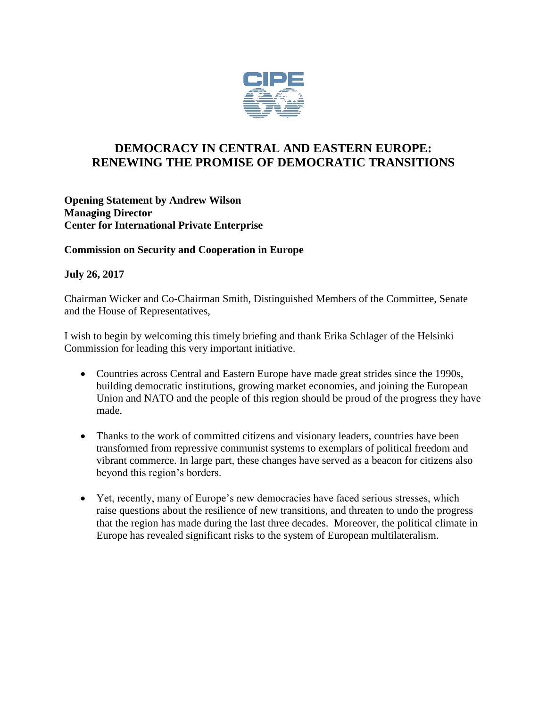

## **DEMOCRACY IN CENTRAL AND EASTERN EUROPE: RENEWING THE PROMISE OF DEMOCRATIC TRANSITIONS**

**Opening Statement by Andrew Wilson Managing Director Center for International Private Enterprise**

## **Commission on Security and Cooperation in Europe**

## **July 26, 2017**

Chairman Wicker and Co-Chairman Smith, Distinguished Members of the Committee, Senate and the House of Representatives,

I wish to begin by welcoming this timely briefing and thank Erika Schlager of the Helsinki Commission for leading this very important initiative.

- Countries across Central and Eastern Europe have made great strides since the 1990s, building democratic institutions, growing market economies, and joining the European Union and NATO and the people of this region should be proud of the progress they have made.
- Thanks to the work of committed citizens and visionary leaders, countries have been transformed from repressive communist systems to exemplars of political freedom and vibrant commerce. In large part, these changes have served as a beacon for citizens also beyond this region's borders.
- Yet, recently, many of Europe's new democracies have faced serious stresses, which raise questions about the resilience of new transitions, and threaten to undo the progress that the region has made during the last three decades. Moreover, the political climate in Europe has revealed significant risks to the system of European multilateralism.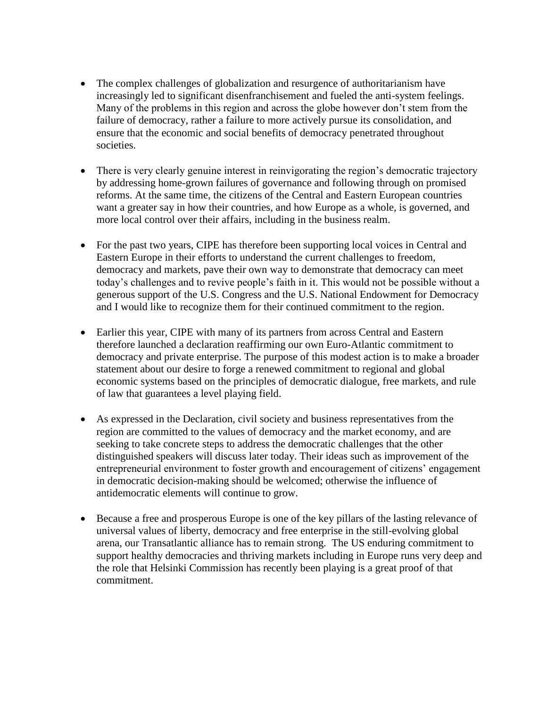- The complex challenges of globalization and resurgence of authoritarianism have increasingly led to significant disenfranchisement and fueled the anti-system feelings. Many of the problems in this region and across the globe however don't stem from the failure of democracy, rather a failure to more actively pursue its consolidation, and ensure that the economic and social benefits of democracy penetrated throughout societies.
- There is very clearly genuine interest in reinvigorating the region's democratic trajectory by addressing home-grown failures of governance and following through on promised reforms. At the same time, the citizens of the Central and Eastern European countries want a greater say in how their countries, and how Europe as a whole, is governed, and more local control over their affairs, including in the business realm.
- For the past two years, CIPE has therefore been supporting local voices in Central and Eastern Europe in their efforts to understand the current challenges to freedom, democracy and markets, pave their own way to demonstrate that democracy can meet today's challenges and to revive people's faith in it. This would not be possible without a generous support of the U.S. Congress and the U.S. National Endowment for Democracy and I would like to recognize them for their continued commitment to the region.
- Earlier this year, CIPE with many of its partners from across Central and Eastern therefore launched a declaration reaffirming our own Euro-Atlantic commitment to democracy and private enterprise. The purpose of this modest action is to make a broader statement about our desire to forge a renewed commitment to regional and global economic systems based on the principles of democratic dialogue, free markets, and rule of law that guarantees a level playing field.
- As expressed in the Declaration, civil society and business representatives from the region are committed to the values of democracy and the market economy, and are seeking to take concrete steps to address the democratic challenges that the other distinguished speakers will discuss later today. Their ideas such as improvement of the entrepreneurial environment to foster growth and encouragement of citizens' engagement in democratic decision-making should be welcomed; otherwise the influence of antidemocratic elements will continue to grow.
- Because a free and prosperous Europe is one of the key pillars of the lasting relevance of universal values of liberty, democracy and free enterprise in the still-evolving global arena, our Transatlantic alliance has to remain strong. The US enduring commitment to support healthy democracies and thriving markets including in Europe runs very deep and the role that Helsinki Commission has recently been playing is a great proof of that commitment.